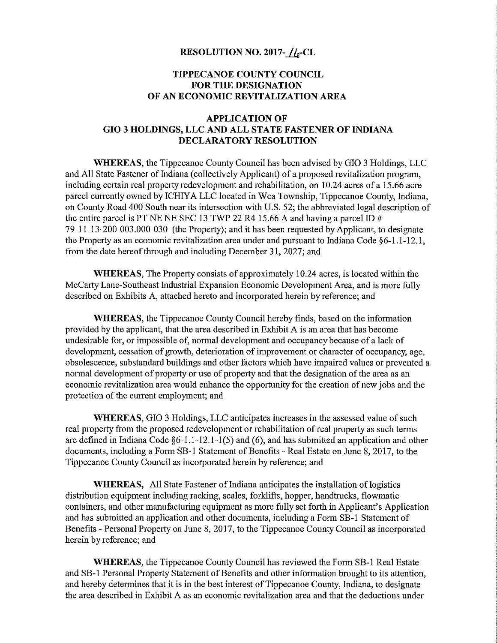## RESOLUTION NO. 2017- $f_{\alpha}$ -CL

## TIPPECANOE COUNTY COUNCIL FOR THE DESIGNATION OF AN ECONOMIC REVITALIZATION AREA

## APPLICATION OF G10 3 HOLDINGS, LLC AND ALL STATE FASTENER OF INDIANA DECLARATORY RESOLUTION

WHEREAS, the Tippecanoe County Council has been advised by G10 3 Holdings, LLC and All State Fastener of Indiana (collectively Applicant) of <sup>a</sup> proposed revitalization program, including certain real property redevelopment and rehabilitation, on 10.24 acres of <sup>a</sup> 15.66 acre parcel currently owned by ICHIYA LLC located in Wea Township, Tippecanoe County, Indiana, on County Road 400 South near its intersection with US.52; the abbreviated legal description of the entire parcel is PT NE NE SEC 13 TWP 22 R4 15.66 A and having a parcel ID  $#$ 79-11-13-200-003.000-030 (the Property); and it has been requested by Applicant, to designate the Property as an economic revitalization area under and pursuant to Indiana Code  $\S6-1.1-12.1$ , from the date hereof through and including December 31, 2027; and

WHEREAS, The Property consists of approximately 10.24 acres, is located within the McCarty Lane-Southeast Industrial Expansion Economic Development Area, and is more fully described on Exhibits A, attached hereto and incorporated herein by reference; and

WHEREAS, the Tippecanoe County Council hereby finds, based on the information provided by the applicant, that the area described in Exhibit A is an area that has become undesirable for, or impossible of, normal development and occupancy because of <sup>a</sup> lack of development, cessation of growth, deterioration of improvement or character of occupancy, age, obsolescence, substandard buildings and other factors which have impaired values or prevented <sup>a</sup> normal development of property or use of property and that the designation of the area as an economic revitalization area would enhance the opportunity for the creation of new jobs and the protection of the current employment; and

WHEREAS, G10 3 Holdings, LLC anticipates increases in the assessed value of such real property from the proposed redevelopment or rehabilitation of real property as such terms are defined in Indiana Code  $\S6-1.1-12.1-1(5)$  and (6), and has submitted an application and other documents, including a Form SB-1 Statement of Benefits - Real Estate on June 8, 2017, to the Tippecanoe County Council as incorporated herein by reference; and

WHEREAS, All State Fastener of Indiana anticipates the installation of logistics distribution equipment including racking, scales, forklifts, hopper, handtrucks, flowmatic containers, and other manufacturing equipment as more fully set forth in Applicant's Application and has submitted an application and other documents, including <sup>a</sup> Form SB-l Statement of Benefits — Personal Property on June 8, 2017, to the Tippecanoe County Council as incorporated herein by reference; and

WHEREAS, the Tippecanoe County Council has reviewed the Form SB-l Real Estate and SB-1 Personal Property Statement of Benefits and other information brought to its attention, and hereby determines that it is in the best interest of Tippecanoe County, Indiana, to designate the area described in Exhibit A asan economic revitalization area and that the deductions under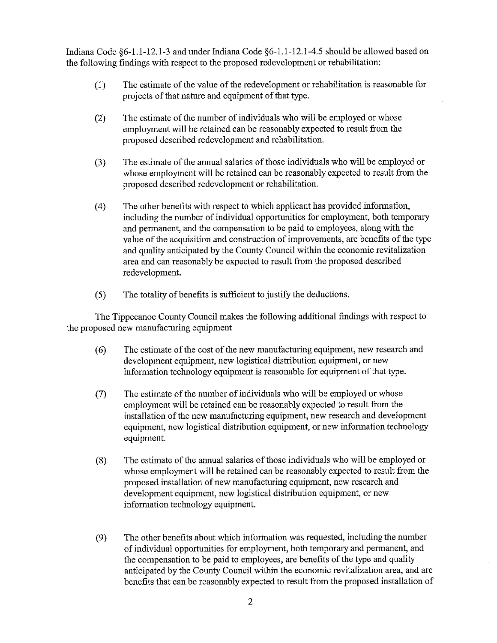Indiana Code  $\S6-1.1-12.1-3$  and under Indiana Code  $\S6-1.1-12.1-4.5$  should be allowed based on the following findings with respect to the proposed redevelopment or rehabilitation:

- (1) The estimate of the value of the redevelopment or rehabilitation is reasonable for projects of that nature and equipment of that type.
- (2) The estimate of the number of individuals who will be employed or whose employment will be retained can be reasonably expected to result from the proposed described redevelopment and rehabilitation.
- (3) The estimate of the annual salaries of those individuals who will be employed or whose employment will be retained can be reasonably expected to result from the proposed described redevelopment or rehabilitation.
- (4) The other benefits with respect to which applicant has provided information, including the number of individual opportunities for employment, both temporary and permanent, and the compensation to be paid to employees, along with the value ofthe acquisition and construction ofimprovements, are benefits of the type and quality anticipated by the County Council within the economic revitalization area and can reasonably be expected to result from the proposed described redevelopment.
- (5) The totality of benefits is sufficient to justify the deductions.

The Tippecanoe County Council makes the following additional findings with respect to the proposed new manufacturing equipment

- (6) The estimate of the cost of the new manufacturing equipment, new research and development equipment, new logistical distribution equipment, or new information technology equipment is reasonable for equipment of that type.
- (7) The estimate of the number of individuals who will be employed or whose employment will be retained can be reasonably expected to result from the installation of the new manufacturing equipment, new research and development equipment, new logistical distribution equipment, or new information technology equipment.
- (8) The estimate of the annual salaries ofthose individuals who will be employed or whose employment will be retained can be reasonably expected to result from the proposed installation of new manufacturing equipment, new research and development equipment, new logistical distribution equipment, or new information technology equipment.
- (9) The other benefits about which information was requested, including the number of individual opportunities for employment, both temporary and permanent, and the compensation to be paid to employees, are benefits of the type and quality anticipated by the County Council within the economic revitalization area, and are benefits that can be reasonably expected to result from the proposed installation of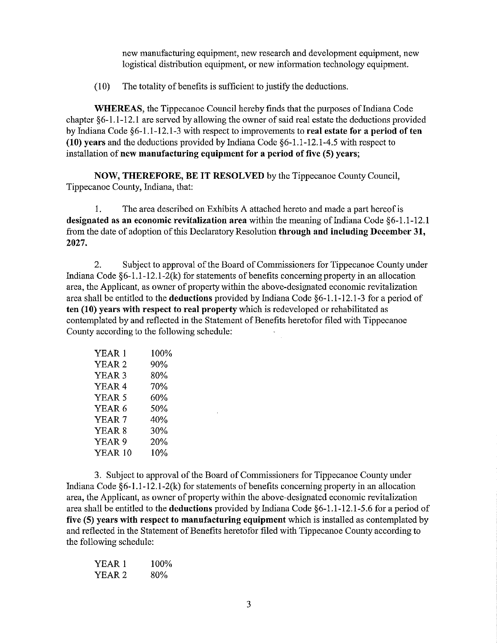new manufacturing equipment, new research and development equipment, new logistical distribution equipment, or new information technology equipment.

(10) The totality of benefits is sufficient to justify the deductions.

WHEREAS, the Tippecanoe Council hereby finds that the purposes of Indiana Code chapter §6—1.l—12.1 are served by allowing the owner of said real estate the deductions provided by Indiana Code  $\S 6-1.1-12.1-3$  with respect to improvements to real estate for a period of ten (10) years and the deductions provided by Indiana Code §6-l.1-12.1-4.5 with respect to installation of new manufacturing equipment for a period of five (5) years;

NOW, THEREFORE, BE IT RESOLVED by the Tippecanoe County Council, Tippecanoe County, Indiana, that:

I. The area described on Exhibits A attached hereto and made <sup>a</sup> part hereof is designated as an economic revitalization area within the meaning of Indiana Code §6-1.1-12.1 from the date of adoption of this Declaratory Resolution through and including December 31, 2027.

2. Subject to approval of the Board of Commissioners for Tippecanoe County under Indiana Code  $\S6-1.1-12.1-2(k)$  for statements of benefits concerning property in an allocation area, the Applicant, as owner of property within the above-designated economic revitalization area shall be entitled to the deductions provided by Indiana Code §6—1.1-12.1-3 for <sup>a</sup> period of ten (10) years with respect to real property which is redeveloped or rehabilitated as contemplated by and reflected in the Statement of Benefits heretofor filed with Tippecanoe County according to the following schedule:

| YEAR 1            | 100% |
|-------------------|------|
| YEAR <sub>2</sub> | 90%  |
| YEAR 3            | 80%  |
| YEAR 4            | 70%  |
| YEAR 5            | 60%  |
| YEAR 6            | 50%  |
| YEAR 7            | 40%  |
| YEAR <sub>8</sub> | 30%  |
| YEAR 9            | 20%  |
| YEAR 10           | 10%  |
|                   |      |

3. Subject to approval of the Board of Commissioners for Tippecanoe County under Indiana Code §6-1.1-12.1-2(k) for statements of benefits concerning property in an allocation area, the Applicant, as owner of property within the above-designated economic revitalization area shall be entitled to the deductions provided by Indiana Code §6-1.1-12.1-5.6 for <sup>a</sup> period of five (5) years with respect to manufacturing equipment which is installed as contemplated by and reflected in the Statement of Benefits heretofor filed with Tippecanoe County according to the following schedule:

| YEAR 1            | 100% |
|-------------------|------|
| YEAR <sub>2</sub> | 80%  |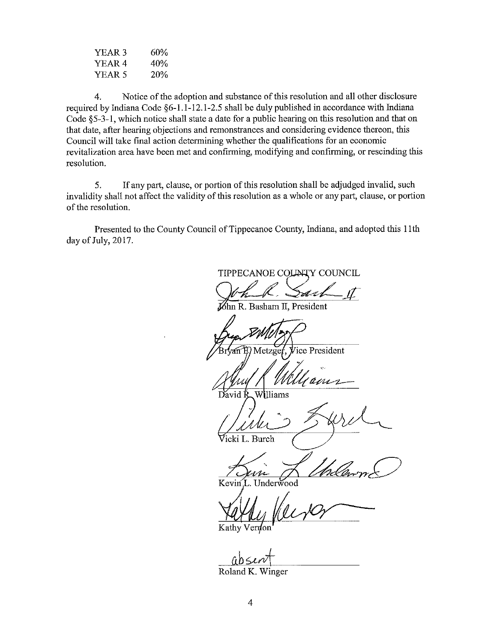| YEAR <sub>3</sub> | 60%        |
|-------------------|------------|
| YEAR 4            | 40%        |
| YEAR 5            | <b>20%</b> |

4. Notice of the adoption and substance of this resolution and all other disclosure required by Indiana Code §6-1.1-12.1-2.5 shall be duly published in accordance with Indiana Code §5—3-1, which notice shall state <sup>a</sup> date for <sup>a</sup> public hearing on this resolution and that on that date, after hearing objections and remonstrances and considering evidence thereon, this Council will take final action determining whether the qualifications for an economic revitalization area have been met and confirming, modifying and confirming, or rescinding this resolution.

5. If any part, clause, or portion of this resolution shall be adjudged invalid, such invalidity shall not affect the validity of this resolution as <sup>a</sup> whole or any part, clause, or portion of the resolution.

Presented to the County Council of Tippecanoe County, Indiana, and adopted this 11th day of July, 2017.

TIPPECANOE COUNTY COUNCIL 5de R. Basham II, President Metzger, Vice President Mulleaun David Williams Whis Sard  $\frac{1}{\sqrt{2\pi}}$  $\forall$ icki L. Burch  $\left\langle \frac{m}{m} \right\rangle$ Kevin'lL. Underwood

Kathy Vernon

 $ab$ sent

Roland K. Winger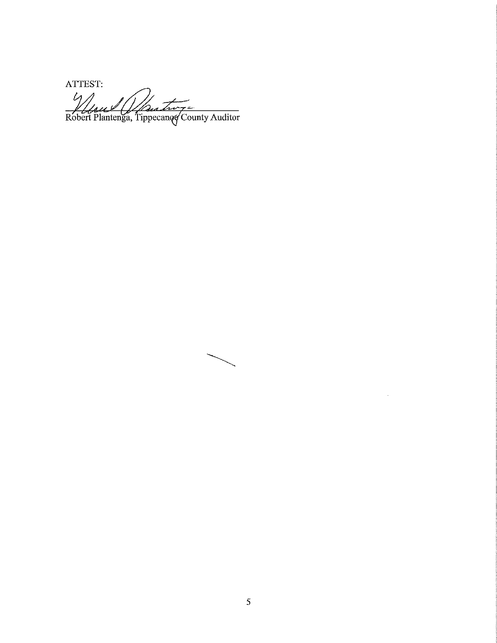ATTEST:<br>Alfred (Martin =

 $\hat{\boldsymbol{\gamma}}$